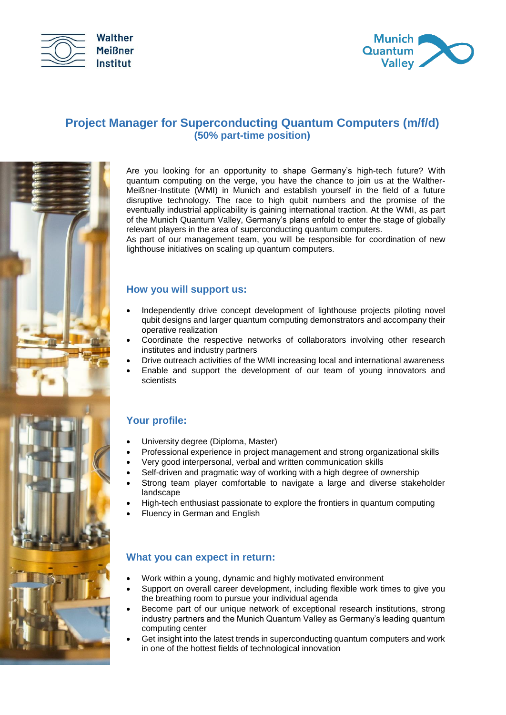



# **Project Manager for Superconducting Quantum Computers (m/f/d) (50% part-time position)**



Are you looking for an opportunity to shape Germany's high-tech future? With quantum computing on the verge, you have the chance to join us at the Walther-Meißner-Institute (WMI) in Munich and establish yourself in the field of a future disruptive technology. The race to high qubit numbers and the promise of the eventually industrial applicability is gaining international traction. At the WMI, as part of the Munich Quantum Valley, Germany's plans enfold to enter the stage of globally relevant players in the area of superconducting quantum computers.

As part of our management team, you will be responsible for coordination of new lighthouse initiatives on scaling up quantum computers.

### **How you will support us:**

- Independently drive concept development of lighthouse projects piloting novel qubit designs and larger quantum computing demonstrators and accompany their operative realization
- Coordinate the respective networks of collaborators involving other research institutes and industry partners
- Drive outreach activities of the WMI increasing local and international awareness
- Enable and support the development of our team of young innovators and scientists

# **Your profile:**

- University degree (Diploma, Master)
- Professional experience in project management and strong organizational skills
- Very good interpersonal, verbal and written communication skills
- Self-driven and pragmatic way of working with a high degree of ownership
- Strong team player comfortable to navigate a large and diverse stakeholder landscape
- High-tech enthusiast passionate to explore the frontiers in quantum computing
- Fluency in German and English

#### **What you can expect in return:**

- Work within a young, dynamic and highly motivated environment
- Support on overall career development, including flexible work times to give you the breathing room to pursue your individual agenda
- Become part of our unique network of exceptional research institutions, strong industry partners and the Munich Quantum Valley as Germany's leading quantum computing center
- Get insight into the latest trends in superconducting quantum computers and work in one of the hottest fields of technological innovation